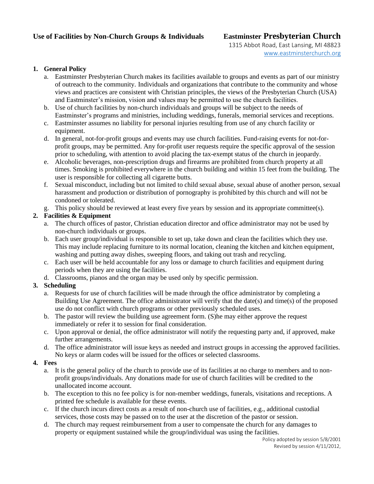## **Use of Facilities by Non-Church Groups & Individuals Eastminster Presbyterian Church**

1315 Abbot Road, East Lansing, MI 48823 [www.eastminsterchurch.org](http://www.eastminsterchurch.org/)

#### **1. General Policy**

- a. Eastminster Presbyterian Church makes its facilities available to groups and events as part of our ministry of outreach to the community. Individuals and organizations that contribute to the community and whose views and practices are consistent with Christian principles, the views of the Presbyterian Church (USA) and Eastminster's mission, vision and values may be permitted to use the church facilities.
- b. Use of church facilities by non-church individuals and groups will be subject to the needs of Eastminster's programs and ministries, including weddings, funerals, memorial services and receptions.
- c. Eastminster assumes no liability for personal injuries resulting from use of any church facility or equipment.
- d. In general, not-for-profit groups and events may use church facilities. Fund-raising events for not-forprofit groups, may be permitted. Any for-profit user requests require the specific approval of the session prior to scheduling, with attention to avoid placing the tax-exempt status of the church in jeopardy.
- e. Alcoholic beverages, non-prescription drugs and firearms are prohibited from church property at all times. Smoking is prohibited everywhere in the church building and within 15 feet from the building. The user is responsible for collecting all cigarette butts.
- f. Sexual misconduct, including but not limited to child sexual abuse, sexual abuse of another person, sexual harassment and production or distribution of pornography is prohibited by this church and will not be condoned or tolerated.
- g. This policy should be reviewed at least every five years by session and its appropriate committee(s).

### **2. Facilities & Equipment**

- a. The church offices of pastor, Christian education director and office administrator may not be used by non-church individuals or groups.
- b. Each user group/individual is responsible to set up, take down and clean the facilities which they use. This may include replacing furniture to its normal location, cleaning the kitchen and kitchen equipment, washing and putting away dishes, sweeping floors, and taking out trash and recycling.
- c. Each user will be held accountable for any loss or damage to church facilities and equipment during periods when they are using the facilities.
- d. Classrooms, pianos and the organ may be used only by specific permission.

### **3. Scheduling**

- a. Requests for use of church facilities will be made through the office administrator by completing a Building Use Agreement. The office administrator will verify that the date(s) and time(s) of the proposed use do not conflict with church programs or other previously scheduled uses.
- b. The pastor will review the building use agreement form. (S)he may either approve the request immediately or refer it to session for final consideration.
- c. Upon approval or denial, the office administrator will notify the requesting party and, if approved, make further arrangements.
- d. The office administrator will issue keys as needed and instruct groups in accessing the approved facilities. No keys or alarm codes will be issued for the offices or selected classrooms.

#### **4. Fees**

- a. It is the general policy of the church to provide use of its facilities at no charge to members and to nonprofit groups/individuals. Any donations made for use of church facilities will be credited to the unallocated income account.
- b. The exception to this no fee policy is for non-member weddings, funerals, visitations and receptions. A printed fee schedule is available for these events.
- c. If the church incurs direct costs as a result of non-church use of facilities, e.g., additional custodial services, those costs may be passed on to the user at the discretion of the pastor or session.
- d. The church may request reimbursement from a user to compensate the church for any damages to property or equipment sustained while the group/individual was using the facilities.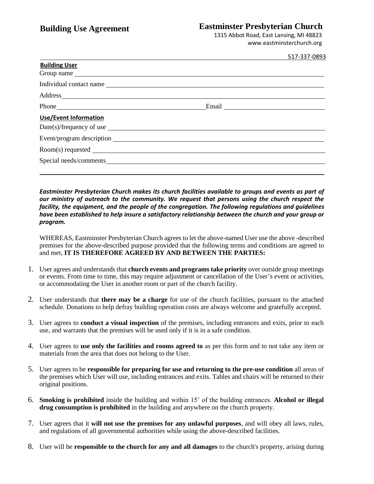# **Building Use Agreement Eastminster Presbyterian Church**

1315 Abbot Road, East Lansing, MI 48823 www.eastminsterchurch.org

|                                                                                                                                                                                                                                | 517-337-0893 |
|--------------------------------------------------------------------------------------------------------------------------------------------------------------------------------------------------------------------------------|--------------|
| <b>Building User</b>                                                                                                                                                                                                           |              |
|                                                                                                                                                                                                                                |              |
| Individual contact name                                                                                                                                                                                                        |              |
|                                                                                                                                                                                                                                |              |
|                                                                                                                                                                                                                                |              |
| <b>Use/Event Information</b>                                                                                                                                                                                                   |              |
|                                                                                                                                                                                                                                |              |
| Event/program description example of the state of the state of the state of the state of the state of the state of the state of the state of the state of the state of the state of the state of the state of the state of the |              |
|                                                                                                                                                                                                                                |              |
| Special needs/comments                                                                                                                                                                                                         |              |
|                                                                                                                                                                                                                                |              |

*Eastminster Presbyterian Church makes its church facilities available to groups and events as part of our ministry of outreach to the community. We request that persons using the church respect the facility, the equipment, and the people of the congregation. The following regulations and guidelines have been established to help insure a satisfactory relationship between the church and your group or program.*

WHEREAS, Eastminster Presbyterian Church agrees to let the above-named User use the above -described premises for the above-described purpose provided that the following terms and conditions are agreed to and met, **IT IS THEREFORE AGREED BY AND BETWEEN THE PARTIES:**

- 1. User agrees and understands that **church events and programs take priority** over outside group meetings or events. From time to time, this may require adjustment or cancellation of the User's event or activities, or accommodating the User in another room or part of the church facility.
- 2. User understands that **there may be a charge** for use of the church facilities, pursuant to the attached schedule. Donations to help defray building operation costs are always welcome and gratefully accepted.
- 3. User agrees to **conduct a visual inspection** of the premises, including entrances and exits, prior to each use, and warrants that the premises will be used only if it is in a safe condition.
- 4. User agrees to **use only the facilities and rooms agreed to** as per this form and to not take any item or materials from the area that does not belong to the User.
- 5. User agrees to be **responsible for preparing for use and returning to the pre-use condition** all areas of the premises which User will use, including entrances and exits. Tables and chairs will be returned to their original positions.
- 6. **Smoking is prohibited** inside the building and within 15' of the building entrances. **Alcohol or illegal drug consumption is prohibited** in the building and anywhere on the church property.
- 7. User agrees that it **will not use the premises for any unlawful purposes**, and will obey all laws, rules, and regulations of all governmental authorities while using the above-described facilities.
- 8. User will be **responsible to the church for any and all damages** to the church's property, arising during